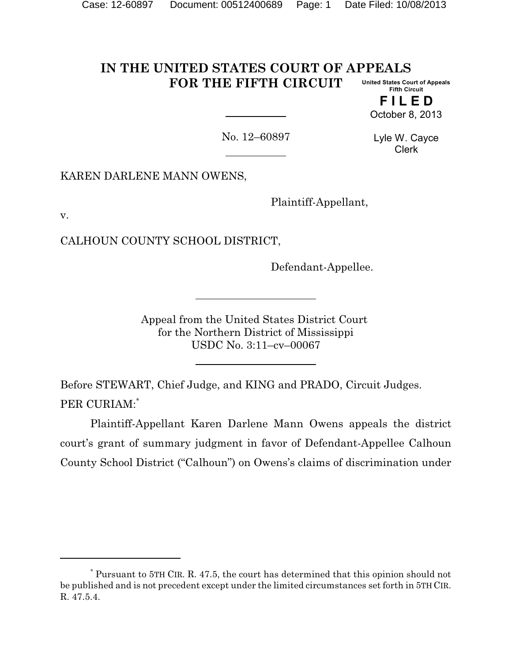#### **IN THE UNITED STATES COURT OF APPEALS FOR THE FIFTH CIRCUIT United States Court of Appeals Fifth Circuit**

**F I L E D** October 8, 2013

No. 12–60897

Lyle W. Cayce Clerk

KAREN DARLENE MANN OWENS,

Plaintiff-Appellant,

v.

CALHOUN COUNTY SCHOOL DISTRICT,

Defendant-Appellee.

Appeal from the United States District Court for the Northern District of Mississippi USDC No. 3:11–cv–00067

Before STEWART, Chief Judge, and KING and PRADO, Circuit Judges. PER CURIAM:\*

Plaintiff-Appellant Karen Darlene Mann Owens appeals the district court's grant of summary judgment in favor of Defendant-Appellee Calhoun County School District ("Calhoun") on Owens's claims of discrimination under

<sup>\*</sup> Pursuant to 5TH CIR. R. 47.5, the court has determined that this opinion should not be published and is not precedent except under the limited circumstances set forth in 5TH CIR. R. 47.5.4.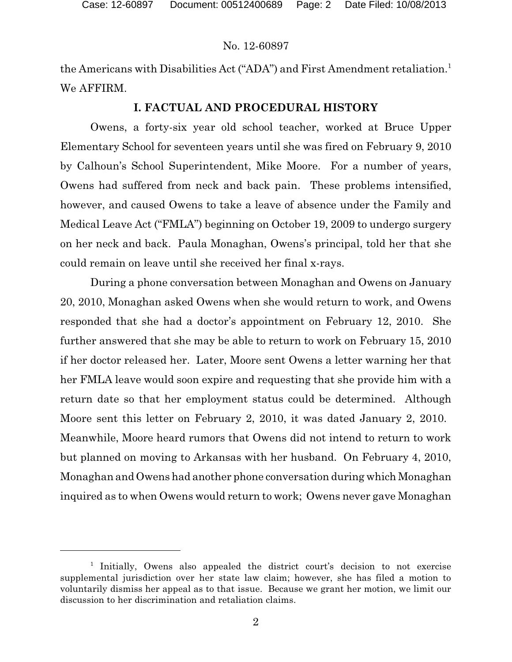the Americans with Disabilities Act ("ADA") and First Amendment retaliation.<sup>1</sup> We AFFIRM.

# **I. FACTUAL AND PROCEDURAL HISTORY**

Owens, a forty-six year old school teacher, worked at Bruce Upper Elementary School for seventeen years until she was fired on February 9, 2010 by Calhoun's School Superintendent, Mike Moore. For a number of years, Owens had suffered from neck and back pain. These problems intensified, however, and caused Owens to take a leave of absence under the Family and Medical Leave Act ("FMLA") beginning on October 19, 2009 to undergo surgery on her neck and back. Paula Monaghan, Owens's principal, told her that she could remain on leave until she received her final x-rays.

During a phone conversation between Monaghan and Owens on January 20, 2010, Monaghan asked Owens when she would return to work, and Owens responded that she had a doctor's appointment on February 12, 2010. She further answered that she may be able to return to work on February 15, 2010 if her doctor released her. Later, Moore sent Owens a letter warning her that her FMLA leave would soon expire and requesting that she provide him with a return date so that her employment status could be determined. Although Moore sent this letter on February 2, 2010, it was dated January 2, 2010. Meanwhile, Moore heard rumors that Owens did not intend to return to work but planned on moving to Arkansas with her husband. On February 4, 2010, Monaghan and Owens had another phone conversation during which Monaghan inquired as to when Owens would return to work; Owens never gave Monaghan

<sup>&</sup>lt;sup>1</sup> Initially, Owens also appealed the district court's decision to not exercise supplemental jurisdiction over her state law claim; however, she has filed a motion to voluntarily dismiss her appeal as to that issue. Because we grant her motion, we limit our discussion to her discrimination and retaliation claims.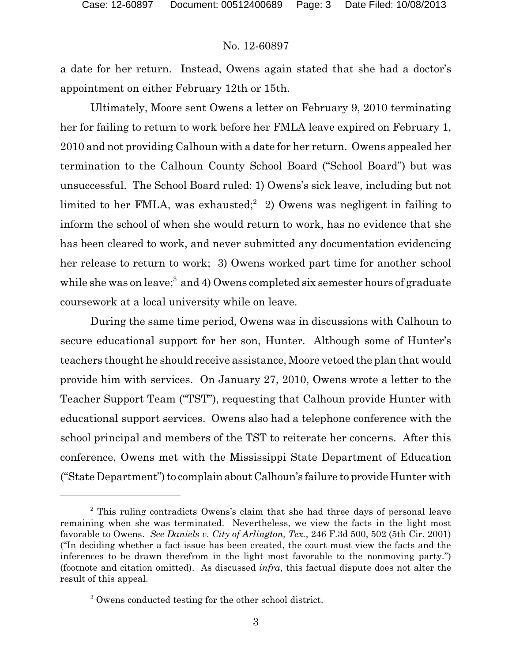a date for her return. Instead, Owens again stated that she had a doctor's appointment on either February 12th or 15th.

Ultimately, Moore sent Owens a letter on February 9, 2010 terminating her for failing to return to work before her FMLA leave expired on February 1, 2010 and not providing Calhoun with a date for her return. Owens appealed her termination to the Calhoun County School Board ("School Board") but was unsuccessful. The School Board ruled: 1) Owens's sick leave, including but not limited to her FMLA, was exhausted;<sup>2</sup> 2) Owens was negligent in failing to inform the school of when she would return to work, has no evidence that she has been cleared to work, and never submitted any documentation evidencing her release to return to work; 3) Owens worked part time for another school while she was on leave; $^3$  and 4) Owens completed six semester hours of graduate coursework at a local university while on leave.

During the same time period, Owens was in discussions with Calhoun to secure educational support for her son, Hunter. Although some of Hunter's teachers thought he should receive assistance, Moore vetoed the plan that would provide him with services. On January 27, 2010, Owens wrote a letter to the Teacher Support Team ("TST"), requesting that Calhoun provide Hunter with educational support services. Owens also had a telephone conference with the school principal and members of the TST to reiterate her concerns. After this conference, Owens met with the Mississippi State Department of Education ("State Department") to complain about Calhoun's failure to provide Hunter with

<sup>&</sup>lt;sup>2</sup> This ruling contradicts Owens's claim that she had three days of personal leave remaining when she was terminated. Nevertheless, we view the facts in the light most favorable to Owens. *See Daniels v. City of Arlington, Tex.*, 246 F.3d 500, 502 (5th Cir. 2001) ("In deciding whether a fact issue has been created, the court must view the facts and the inferences to be drawn therefrom in the light most favorable to the nonmoving party.") (footnote and citation omitted). As discussed *infra*, this factual dispute does not alter the result of this appeal.

<sup>&</sup>lt;sup>3</sup> Owens conducted testing for the other school district.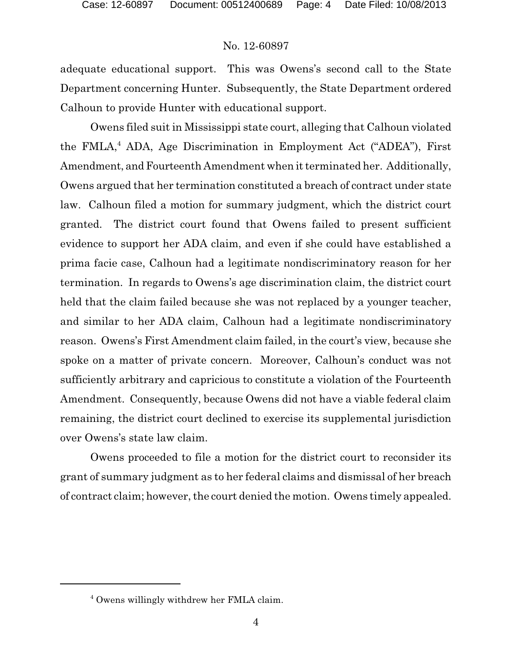adequate educational support. This was Owens's second call to the State Department concerning Hunter. Subsequently, the State Department ordered Calhoun to provide Hunter with educational support.

Owens filed suit in Mississippi state court, alleging that Calhoun violated the FMLA,<sup>4</sup> ADA, Age Discrimination in Employment Act ("ADEA"), First Amendment, and Fourteenth Amendment when it terminated her. Additionally, Owens argued that her termination constituted a breach of contract under state law. Calhoun filed a motion for summary judgment, which the district court granted. The district court found that Owens failed to present sufficient evidence to support her ADA claim, and even if she could have established a prima facie case, Calhoun had a legitimate nondiscriminatory reason for her termination. In regards to Owens's age discrimination claim, the district court held that the claim failed because she was not replaced by a younger teacher, and similar to her ADA claim, Calhoun had a legitimate nondiscriminatory reason. Owens's First Amendment claim failed, in the court's view, because she spoke on a matter of private concern. Moreover, Calhoun's conduct was not sufficiently arbitrary and capricious to constitute a violation of the Fourteenth Amendment. Consequently, because Owens did not have a viable federal claim remaining, the district court declined to exercise its supplemental jurisdiction over Owens's state law claim.

Owens proceeded to file a motion for the district court to reconsider its grant of summary judgment as to her federal claims and dismissal of her breach of contract claim; however, the court denied the motion. Owens timely appealed.

<sup>4</sup> Owens willingly withdrew her FMLA claim.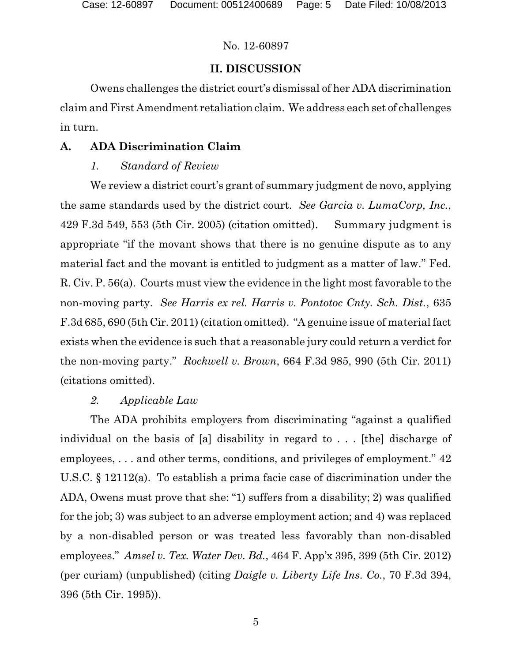# **II. DISCUSSION**

Owens challenges the district court's dismissal of her ADA discrimination claim and First Amendment retaliation claim. We address each set of challenges in turn.

# **A. ADA Discrimination Claim**

# *1. Standard of Review*

We review a district court's grant of summary judgment de novo, applying the same standards used by the district court. *See Garcia v. LumaCorp, Inc.*, 429 F.3d 549, 553 (5th Cir. 2005) (citation omitted). Summary judgment is appropriate "if the movant shows that there is no genuine dispute as to any material fact and the movant is entitled to judgment as a matter of law." Fed. R. Civ. P. 56(a). Courts must view the evidence in the light most favorable to the non-moving party. *See Harris ex rel. Harris v. Pontotoc Cnty. Sch. Dist.*, 635 F.3d 685, 690 (5th Cir. 2011) (citation omitted). "A genuine issue of material fact exists when the evidence is such that a reasonable jury could return a verdict for the non-moving party." *Rockwell v. Brown*, 664 F.3d 985, 990 (5th Cir. 2011) (citations omitted).

# *2. Applicable Law*

The ADA prohibits employers from discriminating "against a qualified individual on the basis of [a] disability in regard to . . . [the] discharge of employees, . . . and other terms, conditions, and privileges of employment." 42 U.S.C. § 12112(a). To establish a prima facie case of discrimination under the ADA, Owens must prove that she: "1) suffers from a disability; 2) was qualified for the job; 3) was subject to an adverse employment action; and 4) was replaced by a non-disabled person or was treated less favorably than non-disabled employees." *Amsel v. Tex. Water Dev. Bd.*, 464 F. App'x 395, 399 (5th Cir. 2012) (per curiam) (unpublished) (citing *Daigle v. Liberty Life Ins. Co.*, 70 F.3d 394, 396 (5th Cir. 1995)).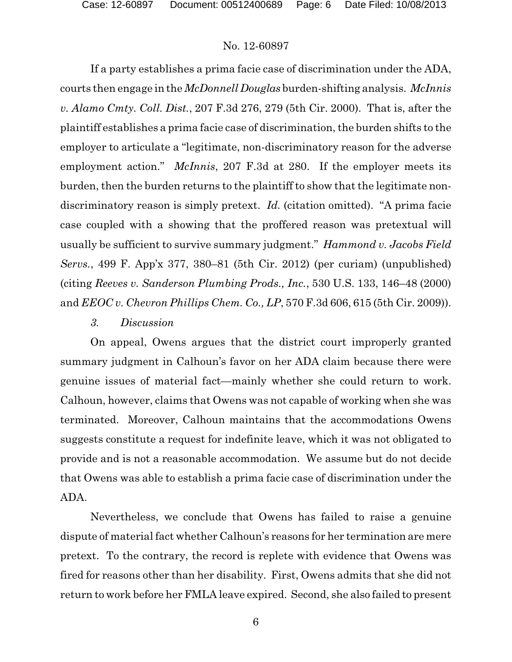If a party establishes a prima facie case of discrimination under the ADA, courts then engage in the *McDonnell Douglas* burden-shifting analysis. *McInnis v. Alamo Cmty. Coll. Dist.*, 207 F.3d 276, 279 (5th Cir. 2000). That is, after the plaintiff establishes a prima facie case of discrimination, the burden shifts to the employer to articulate a "legitimate, non-discriminatory reason for the adverse employment action." *McInnis*, 207 F.3d at 280. If the employer meets its burden, then the burden returns to the plaintiff to show that the legitimate nondiscriminatory reason is simply pretext. *Id.* (citation omitted). "A prima facie case coupled with a showing that the proffered reason was pretextual will usually be sufficient to survive summary judgment." *Hammond v. Jacobs Field Servs.*, 499 F. App'x 377, 380–81 (5th Cir. 2012) (per curiam) (unpublished) (citing *Reeves v. Sanderson Plumbing Prods., Inc.*, 530 U.S. 133, 146–48 (2000) and *EEOC v. Chevron Phillips Chem. Co., LP*, 570 F.3d 606, 615 (5th Cir. 2009)).

### *3. Discussion*

On appeal, Owens argues that the district court improperly granted summary judgment in Calhoun's favor on her ADA claim because there were genuine issues of material fact—mainly whether she could return to work. Calhoun, however, claims that Owens was not capable of working when she was terminated. Moreover, Calhoun maintains that the accommodations Owens suggests constitute a request for indefinite leave, which it was not obligated to provide and is not a reasonable accommodation. We assume but do not decide that Owens was able to establish a prima facie case of discrimination under the ADA.

Nevertheless, we conclude that Owens has failed to raise a genuine dispute of material fact whether Calhoun's reasons for her termination are mere pretext. To the contrary, the record is replete with evidence that Owens was fired for reasons other than her disability. First, Owens admits that she did not return to work before her FMLA leave expired. Second, she also failed to present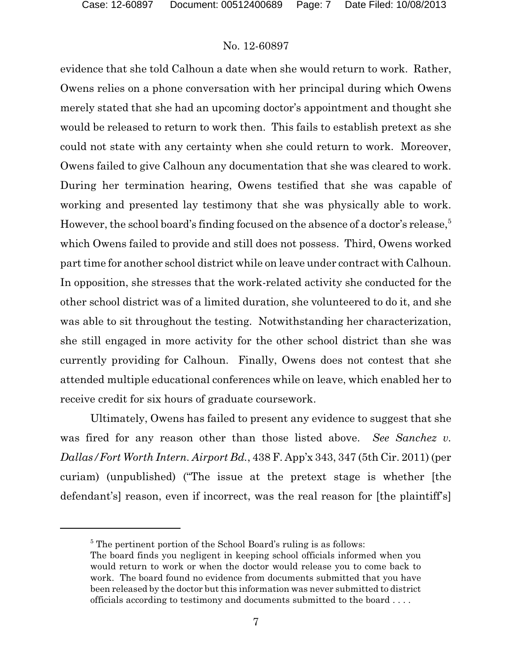evidence that she told Calhoun a date when she would return to work. Rather, Owens relies on a phone conversation with her principal during which Owens merely stated that she had an upcoming doctor's appointment and thought she would be released to return to work then. This fails to establish pretext as she could not state with any certainty when she could return to work. Moreover, Owens failed to give Calhoun any documentation that she was cleared to work. During her termination hearing, Owens testified that she was capable of working and presented lay testimony that she was physically able to work. However, the school board's finding focused on the absence of a doctor's release, $5$ which Owens failed to provide and still does not possess. Third, Owens worked part time for another school district while on leave under contract with Calhoun. In opposition, she stresses that the work-related activity she conducted for the other school district was of a limited duration, she volunteered to do it, and she was able to sit throughout the testing. Notwithstanding her characterization, she still engaged in more activity for the other school district than she was currently providing for Calhoun. Finally, Owens does not contest that she attended multiple educational conferences while on leave, which enabled her to receive credit for six hours of graduate coursework.

Ultimately, Owens has failed to present any evidence to suggest that she was fired for any reason other than those listed above. *See Sanchez v. Dallas/Fort Worth Intern. Airport Bd.*, 438 F. App'x 343, 347 (5th Cir. 2011) (per curiam) (unpublished) ("The issue at the pretext stage is whether [the defendant's] reason, even if incorrect, was the real reason for [the plaintiff's]

 $5$ <sup>5</sup> The pertinent portion of the School Board's ruling is as follows:

The board finds you negligent in keeping school officials informed when you would return to work or when the doctor would release you to come back to work. The board found no evidence from documents submitted that you have been released by the doctor but this information was never submitted to district officials according to testimony and documents submitted to the board . . . .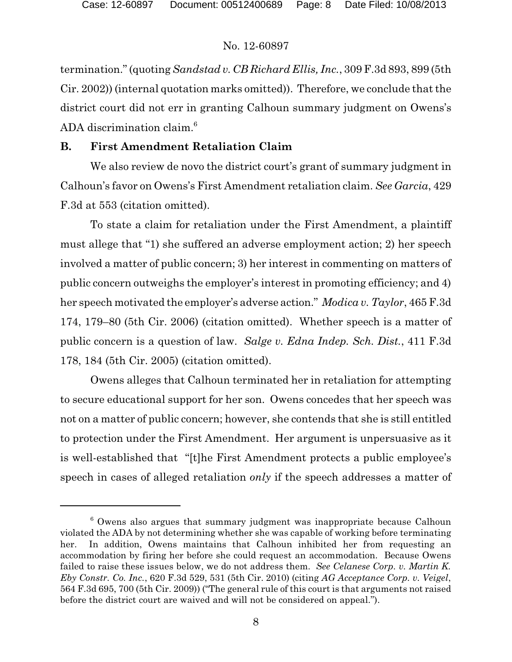termination." (quoting *Sandstad v. CB Richard Ellis, Inc.*, 309 F.3d 893, 899 (5th Cir. 2002)) (internal quotation marks omitted)). Therefore, we conclude that the district court did not err in granting Calhoun summary judgment on Owens's ADA discrimination claim.<sup>6</sup>

# **B. First Amendment Retaliation Claim**

We also review de novo the district court's grant of summary judgment in Calhoun's favor on Owens's First Amendment retaliation claim. *See Garcia*, 429 F.3d at 553 (citation omitted).

To state a claim for retaliation under the First Amendment, a plaintiff must allege that "1) she suffered an adverse employment action; 2) her speech involved a matter of public concern; 3) her interest in commenting on matters of public concern outweighs the employer's interest in promoting efficiency; and 4) her speech motivated the employer's adverse action." *Modica v. Taylor*, 465 F.3d 174, 179–80 (5th Cir. 2006) (citation omitted). Whether speech is a matter of public concern is a question of law. *Salge v. Edna Indep. Sch. Dist.*, 411 F.3d 178, 184 (5th Cir. 2005) (citation omitted).

Owens alleges that Calhoun terminated her in retaliation for attempting to secure educational support for her son. Owens concedes that her speech was not on a matter of public concern; however, she contends that she is still entitled to protection under the First Amendment. Her argument is unpersuasive as it is well-established that "[t]he First Amendment protects a public employee's speech in cases of alleged retaliation *only* if the speech addresses a matter of

 $6$  Owens also argues that summary judgment was inappropriate because Calhoun violated the ADA by not determining whether she was capable of working before terminating her. In addition, Owens maintains that Calhoun inhibited her from requesting an accommodation by firing her before she could request an accommodation. Because Owens failed to raise these issues below, we do not address them. *See Celanese Corp. v. Martin K. Eby Constr. Co. Inc.*, 620 F.3d 529, 531 (5th Cir. 2010) (citing *AG Acceptance Corp. v. Veigel*, 564 F.3d 695, 700 (5th Cir. 2009)) ("The general rule of this court is that arguments not raised before the district court are waived and will not be considered on appeal.").